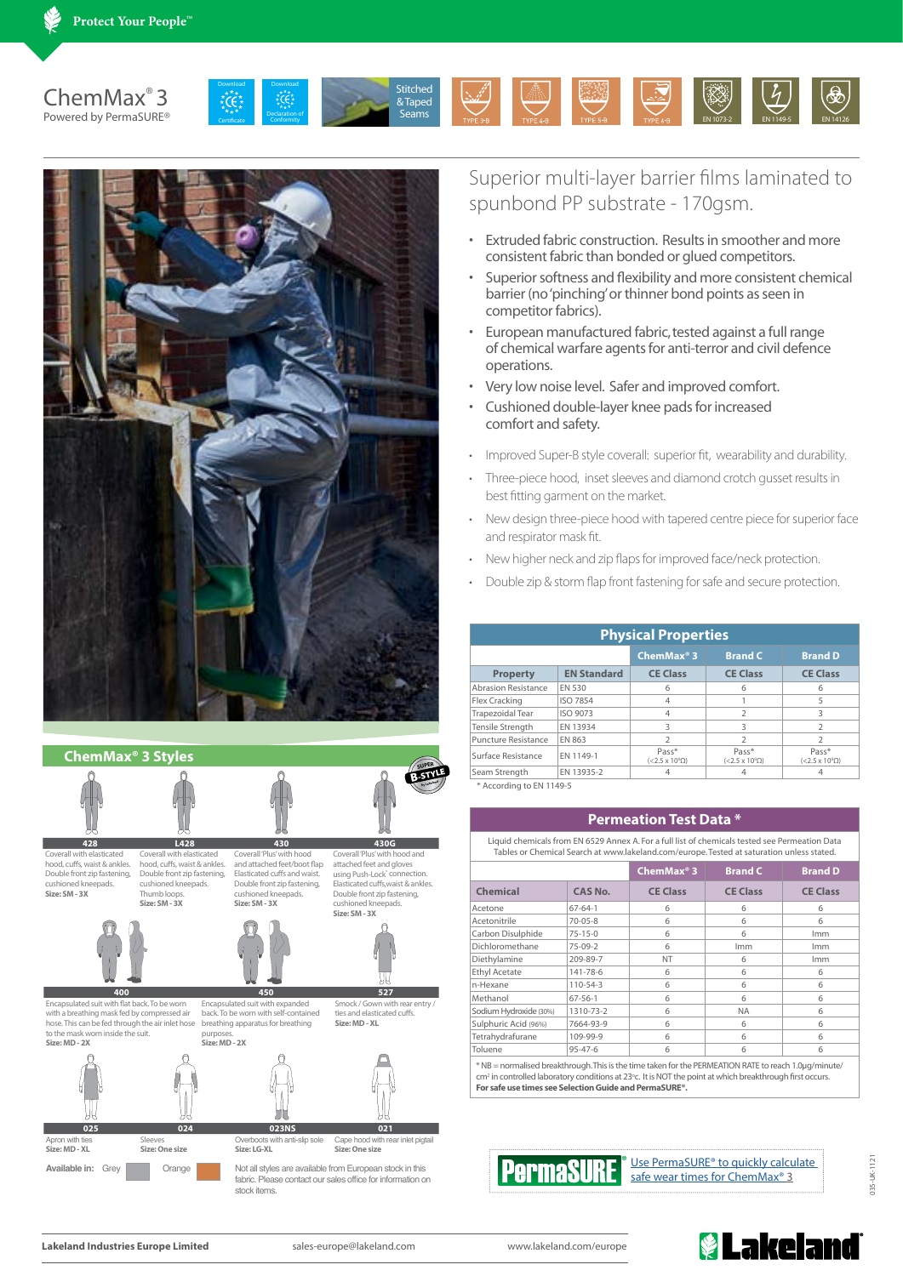





Superior multi-layer barrier films laminated to spunbond PP substrate - 170gsm.

- Extruded fabric construction. Results in smoother and more consistent fabric than bonded or glued competitors.
- Superior softness and flexibility and more consistent chemical barrier (no 'pinching' or thinner bond points as seen in competitor fabrics).
- European manufactured fabric, tested against a full range of chemical warfare agents for anti-terror and civil defence operations.
- Very low noise level. Safer and improved comfort.
- Cushioned double-layer knee pads for increased comfort and safety.
- Improved Super-B style coverall: superior fit, wearability and durability.
- Three-piece hood, inset sleeves and diamond crotch gusset results in best fitting garment on the market.
- New design three-piece hood with tapered centre piece for superior face and respirator mask fit.
- New higher neck and zip flaps for improved face/neck protection.
- Double zip & storm flap front fastening for safe and secure protection.

| <b>Physical Properties</b> |                    |                                      |                                      |                                      |  |  |
|----------------------------|--------------------|--------------------------------------|--------------------------------------|--------------------------------------|--|--|
|                            |                    | ChemMax <sup>®</sup> 3               | <b>Brand C</b>                       | <b>Brand D</b>                       |  |  |
| <b>Property</b>            | <b>EN Standard</b> | <b>CE Class</b>                      | <b>CE Class</b>                      | <b>CE Class</b>                      |  |  |
| <b>Abrasion Resistance</b> | EN 530             | 6                                    | 6                                    | 6                                    |  |  |
| Flex Cracking              | <b>ISO 7854</b>    | 4                                    |                                      | 5                                    |  |  |
| Trapezoidal Tear           | ISO 9073           | 4                                    | $\mathcal{I}$                        | 3                                    |  |  |
| Tensile Strength           | EN 13934           | 3                                    | ς                                    | $\overline{\mathbf{c}}$              |  |  |
| Puncture Resistance        | EN 863             | フ                                    | $\mathcal{I}$                        | フ                                    |  |  |
| Surface Resistance         | EN 1149-1          | Pass*<br>$(<2.5 \times 10^9 \Omega)$ | Pass*<br>$(<2.5 \times 10^9 \Omega)$ | Pass*<br>$(<2.5 \times 10^9 \Omega)$ |  |  |
| Seam Strength              | EN 13935-2         | 4                                    |                                      |                                      |  |  |

\* According to EN 1149-5

## **Permeation Test Data \***

Liquid chemicals from EN 6529 Annex A. For a full list of chemicals tested see Permeation Data Tables or Chemical Search at www.lakeland.com/europe. Tested at saturation unless stated.

|                        |                | ChemMax $\degree$ 3 | <b>Brand C</b>  | <b>Brand D</b>  |
|------------------------|----------------|---------------------|-----------------|-----------------|
| <b>Chemical</b>        | <b>CAS No.</b> | <b>CE Class</b>     | <b>CE Class</b> | <b>CE Class</b> |
| Acetone                | $67 - 64 - 1$  | 6                   | 6               | 6               |
| Acetonitrile           | $70 - 05 - 8$  | 6                   | 6               | 6               |
| Carbon Disulphide      | $75 - 15 - 0$  | 6                   | 6               | <b>Imm</b>      |
| Dichloromethane        | $75-09-2$      | 6                   | Imm             | <b>Imm</b>      |
| Diethylamine           | 209-89-7       | NT                  | 6               | <b>Imm</b>      |
| <b>Ethyl Acetate</b>   | 141-78-6       | 6                   | 6               | 6               |
| n-Hexane               | 110-54-3       | 6                   | 6               | 6               |
| Methanol               | $67 - 56 - 1$  | 6                   | 6               | 6               |
| Sodium Hydroxide (30%) | 1310-73-2      | 6                   | <b>NA</b>       | 6               |
| Sulphuric Acid (96%)   | 7664-93-9      | 6                   | 6               | 6               |
| Tetrahydrafurane       | 109-99-9       | 6                   | 6               | 6               |
| Toluene                | $95 - 47 - 6$  | 6                   | 6               | 6               |

cm<sup>2</sup> in controlled laboratory conditions at 23°c. It is NOT the point at which breakthrough first occurs. **For safe use times see Selection Guide and PermaSURE®.**



Use PermaSURE<sup>®</sup> to quickly calculate safe wear times for ChemMax<sup>®</sup> 3